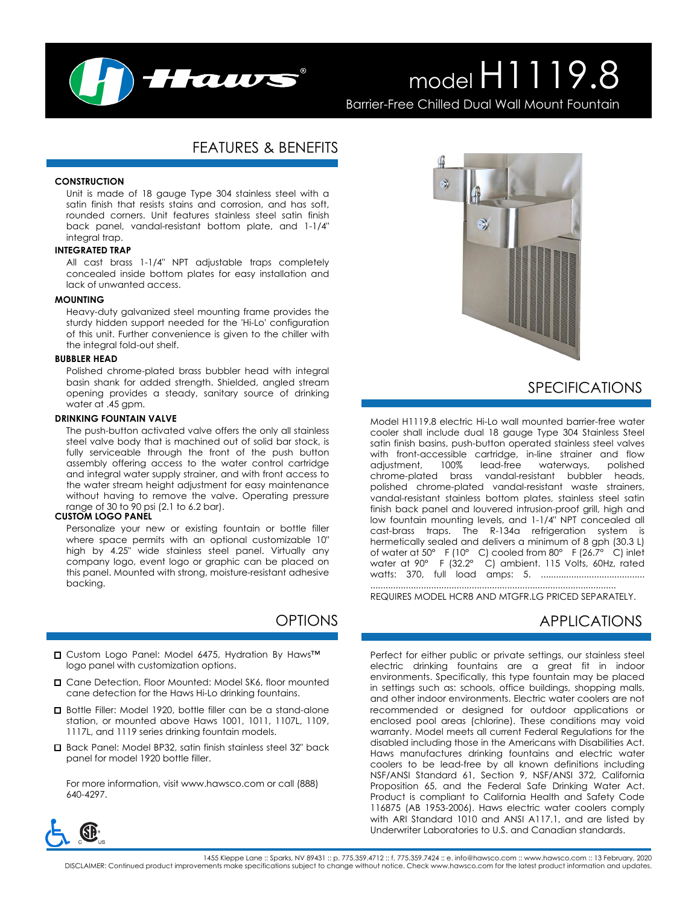

# model H1119.8

Barrier-Free Chilled Dual Wall Mount Fountain

## FEATURES & BENEFITS

#### **CONSTRUCTION**

Unit is made of 18 gauge Type 304 stainless steel with a satin finish that resists stains and corrosion, and has soft, rounded corners. Unit features stainless steel satin finish back panel, vandal-resistant bottom plate, and 1-1/4" integral trap.

#### **INTEGRATED TRAP**

All cast brass 1-1/4" NPT adjustable traps completely concealed inside bottom plates for easy installation and lack of unwanted access.

#### **MOUNTING**

Heavy-duty galvanized steel mounting frame provides the sturdy hidden support needed for the 'Hi-Lo' configuration of this unit. Further convenience is given to the chiller with the integral fold-out shelf.

#### **BUBBLER HEAD**

Polished chrome-plated brass bubbler head with integral basin shank for added strength. Shielded, angled stream opening provides a steady, sanitary source of drinking water at .45 gpm.

#### **DRINKING FOUNTAIN VALVE**

The push-button activated valve offers the only all stainless steel valve body that is machined out of solid bar stock, is fully serviceable through the front of the push button assembly offering access to the water control cartridge and integral water supply strainer, and with front access to the water stream height adjustment for easy maintenance without having to remove the valve. Operating pressure range of 30 to 90 psi (2.1 to 6.2 bar).

#### **CUSTOM LOGO PANEL**

Personalize your new or existing fountain or bottle filler where space permits with an optional customizable 10" high by 4.25" wide stainless steel panel. Virtually any company logo, event logo or graphic can be placed on this panel. Mounted with strong, moisture-resistant adhesive backing.

# OPTIONS

- □ Custom Logo Panel: Model 6475, Hydration By Haws™ logo panel with customization options.
- □ Cane Detection, Floor Mounted: Model SK6, floor mounted cane detection for the Haws Hi-Lo drinking fountains.
- Bottle Filler: Model 1920, bottle filler can be a stand-alone station, or mounted above Haws 1001, 1011, 1107L, 1109, 1117L, and 1119 series drinking fountain models.
- Back Panel: Model BP32, satin finish stainless steel 32" back panel for model 1920 bottle filler.

For more information, visit www.hawsco.com or call (888) 640-4297.



## SPECIFICATIONS

Model H1119.8 electric Hi-Lo wall mounted barrier-free water cooler shall include dual 18 gauge Type 304 Stainless Steel satin finish basins, push-button operated stainless steel valves with front-accessible cartridge, in-line strainer and flow adjustment, 100% lead-free waterways, chrome-plated brass vandal-resistant bubbler heads, polished chrome-plated vandal-resistant waste strainers, vandal-resistant stainless bottom plates, stainless steel satin finish back panel and louvered intrusion-proof grill, high and low fountain mounting levels, and 1-1/4" NPT concealed all cast-brass traps. The R-134a refrigeration system is hermetically sealed and delivers a minimum of 8 gph (30.3 L) of water at 50° F (10° C) cooled from 80° F (26.7° C) inlet water at 90° F (32.2° C) ambient. 115 Volts, 60Hz, rated watts: 370, full load amps: 5. .........................................

REQUIRES MODEL HCR8 AND MTGFR.LG PRICED SEPARATELY.

.................................................................................................

### APPLICATIONS

Perfect for either public or private settings, our stainless steel electric drinking fountains are a great fit in indoor environments. Specifically, this type fountain may be placed in settings such as: schools, office buildings, shopping malls, and other indoor environments. Electric water coolers are not recommended or designed for outdoor applications or enclosed pool areas (chlorine). These conditions may void warranty. Model meets all current Federal Regulations for the disabled including those in the Americans with Disabilities Act. Haws manufactures drinking fountains and electric water coolers to be lead-free by all known definitions including NSF/ANSI Standard 61, Section 9, NSF/ANSI 372, California Proposition 65, and the Federal Safe Drinking Water Act. Product is compliant to California Health and Safety Code 116875 (AB 1953-2006). Haws electric water coolers comply with ARI Standard 1010 and ANSI A117.1, and are listed by Underwriter Laboratories to U.S. and Canadian standards.



1455 Kleppe Lane :: Sparks, NV 89431 :: p. 775.359.4712 :: f. 775.359.4744 :: e. info@hawsco.com :: www.hawsco.com :: 13 February, 2020<br>DISCLAIMER: Continued product improvements make specifications subject to change witho